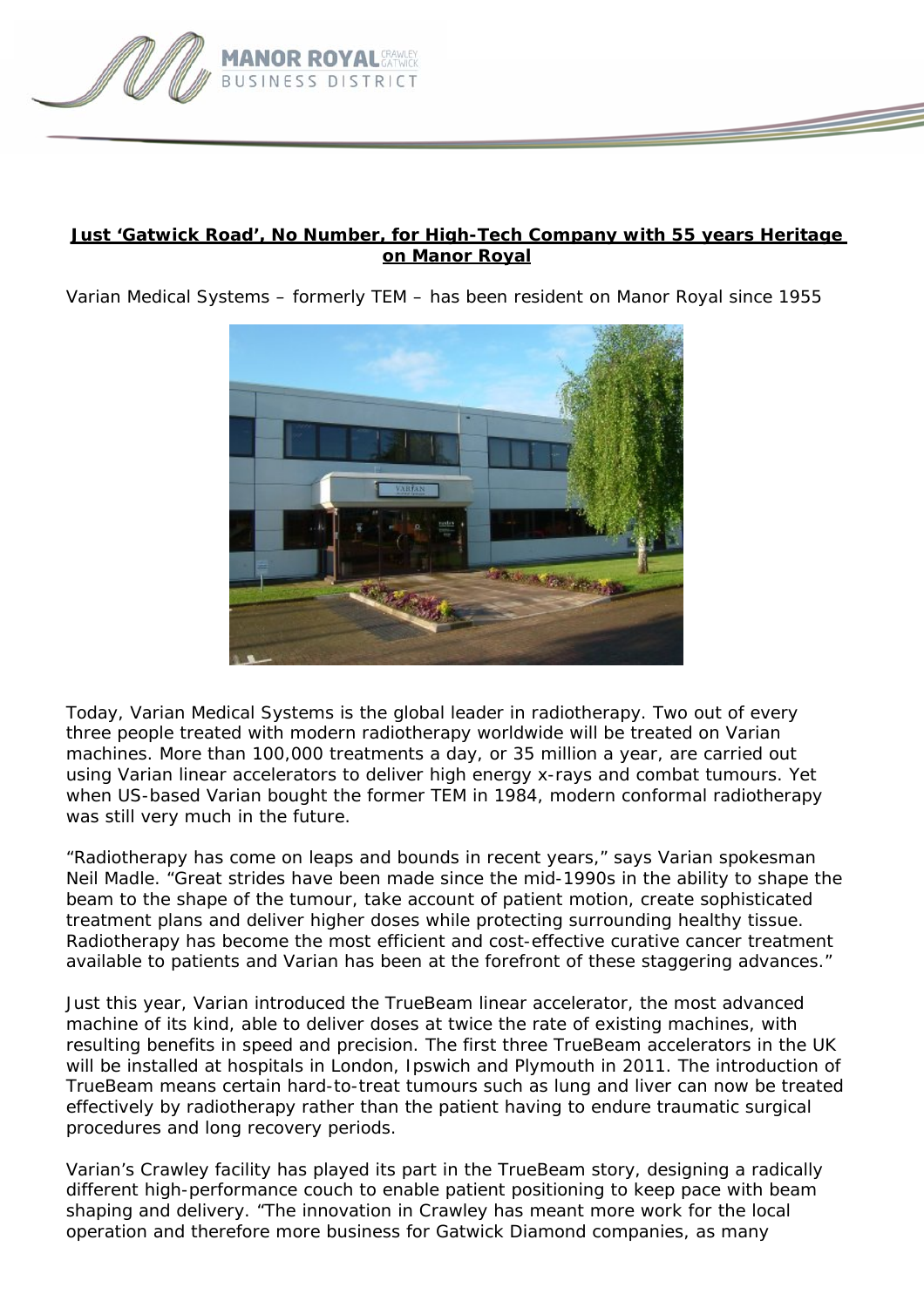

## **Just 'Gatwick Road', No Number, for High-Tech Company with 55 years Heritage on Manor Royal**

*Varian Medical Systems – formerly TEM – has been resident on Manor Royal since 1955* 



Today, Varian Medical Systems is the global leader in radiotherapy. Two out of every three people treated with modern radiotherapy worldwide will be treated on Varian machines. More than 100,000 treatments a day, or 35 million a year, are carried out using Varian linear accelerators to deliver high energy x-rays and combat tumours. Yet when US-based Varian bought the former TEM in 1984, modern conformal radiotherapy was still very much in the future.

"Radiotherapy has come on leaps and bounds in recent years," says Varian spokesman Neil Madle. "Great strides have been made since the mid-1990s in the ability to shape the beam to the shape of the tumour, take account of patient motion, create sophisticated treatment plans and deliver higher doses while protecting surrounding healthy tissue. Radiotherapy has become the most efficient and cost-effective curative cancer treatment available to patients and Varian has been at the forefront of these staggering advances."

Just this year, Varian introduced the TrueBeam linear accelerator, the most advanced machine of its kind, able to deliver doses at twice the rate of existing machines, with resulting benefits in speed and precision. The first three TrueBeam accelerators in the UK will be installed at hospitals in London, Ipswich and Plymouth in 2011. The introduction of TrueBeam means certain hard-to-treat tumours such as lung and liver can now be treated effectively by radiotherapy rather than the patient having to endure traumatic surgical procedures and long recovery periods.

Varian's Crawley facility has played its part in the TrueBeam story, designing a radically different high-performance couch to enable patient positioning to keep pace with beam shaping and delivery. "The innovation in Crawley has meant more work for the local operation and therefore more business for Gatwick Diamond companies, as many